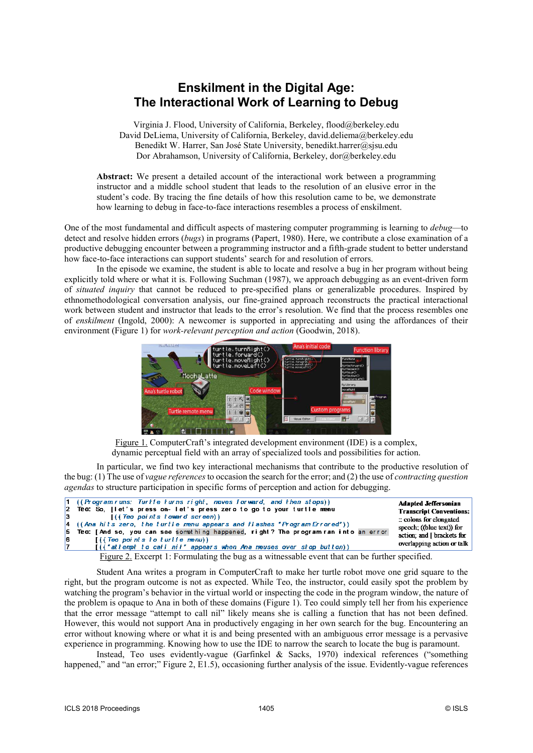## **Enskilment in the Digital Age: The Interactional Work of Learning to Debug**

Virginia J. Flood, University of California, Berkeley, flood@berkeley.edu David DeLiema, University of California, Berkeley, david.deliema@berkeley.edu Benedikt W. Harrer, San José State University, benedikt.harrer@sjsu.edu Dor Abrahamson, University of California, Berkeley, dor@berkeley.edu

**Abstract:** We present a detailed account of the interactional work between a programming instructor and a middle school student that leads to the resolution of an elusive error in the student's code. By tracing the fine details of how this resolution came to be, we demonstrate how learning to debug in face-to-face interactions resembles a process of enskilment.

One of the most fundamental and difficult aspects of mastering computer programming is learning to *debug*—to detect and resolve hidden errors (*bugs*) in programs (Papert, 1980). Here, we contribute a close examination of a productive debugging encounter between a programming instructor and a fifth-grade student to better understand how face-to-face interactions can support students' search for and resolution of errors.

In the episode we examine, the student is able to locate and resolve a bug in her program without being explicitly told where or what it is. Following Suchman (1987), we approach debugging as an event-driven form of *situated inquiry* that cannot be reduced to pre-specified plans or generalizable procedures. Inspired by ethnomethodological conversation analysis, our fine-grained approach reconstructs the practical interactional work between student and instructor that leads to the error's resolution. We find that the process resembles one of *enskilment* (Ingold, 2000): A newcomer is supported in appreciating and using the affordances of their environment (Figure 1) for *work-relevant perception and action* (Goodwin, 2018).



Figure 1. ComputerCraft's integrated development environment (IDE) is a complex, dynamic perceptual field with an array of specialized tools and possibilities for action.

In particular, we find two key interactional mechanisms that contribute to the productive resolution of the bug: (1) The use of *vague references*to occasion the search for the error; and (2) the use of *contracting question agendas* to structure participation in specific forms of perception and action for debugging.

|                       | $ 1-($ (Program runs: Turtle turns right, moves forward, and then stops))<br>2. Teo: So, [let's press on-let's press zero to go to your turtle menu           | <b>Adapted Jeffersonian</b><br><b>Transcript Conventions:</b> |
|-----------------------|---------------------------------------------------------------------------------------------------------------------------------------------------------------|---------------------------------------------------------------|
|                       | $\left($ (Teo points toward screen))<br>$\mathbf{B}$ and $\mathbf{B}$<br>$ 4 \quad ($ (Ana hits zero, the turtle menu appears and flashes "Program Errored")) | $\therefore$ colons for elongated                             |
|                       | 5 Teo: [And so, you can see something happened, right? The program ran into an error                                                                          | speech; ((blue text)) for<br>action; and [ brackets for       |
| <b>6</b><br>$\vert$ 7 | I((Teo points to turtle menu))<br>[(("attempt to call nil" appears when Ana mouses over stop button))                                                         | overlapping action or talk                                    |
|                       | Eigene 2. Execut 1. Equipmentation the base of a witnesseable growt that can be further growthed                                                              |                                                               |

Figure 2. Excerpt 1: Formulating the bug as a witnessable event that can be further specified.

Student Ana writes a program in ComputerCraft to make her turtle robot move one grid square to the right, but the program outcome is not as expected. While Teo, the instructor, could easily spot the problem by watching the program's behavior in the virtual world or inspecting the code in the program window, the nature of the problem is opaque to Ana in both of these domains (Figure 1). Teo could simply tell her from his experience that the error message "attempt to call nil" likely means she is calling a function that has not been defined. However, this would not support Ana in productively engaging in her own search for the bug. Encountering an error without knowing where or what it is and being presented with an ambiguous error message is a pervasive experience in programming. Knowing how to use the IDE to narrow the search to locate the bug is paramount.

Instead, Teo uses evidently-vague (Garfinkel & Sacks, 1970) indexical references ("something happened," and "an error;" Figure 2, E1.5), occasioning further analysis of the issue. Evidently-vague references